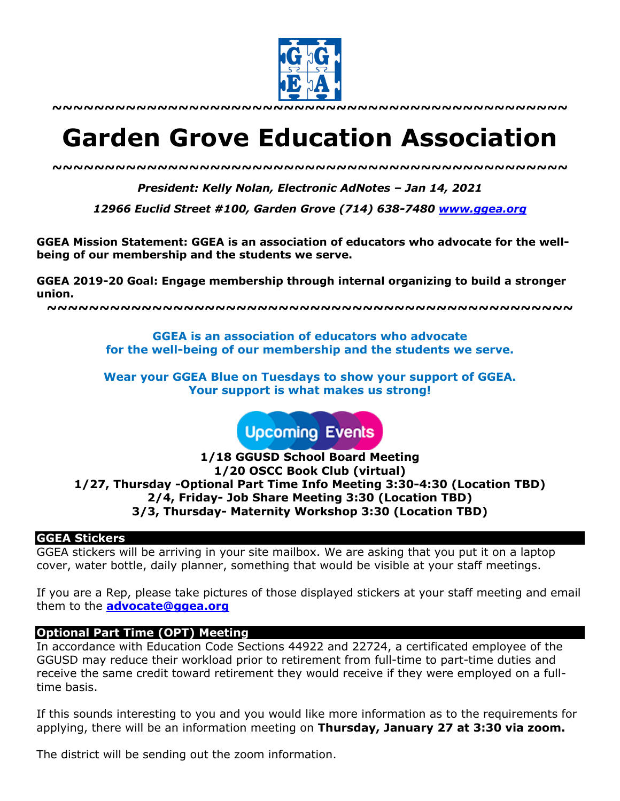

# **Garden Grove Education Association**

*~~~~~~~~~~~~~~~~~~~~~~~~~~~~~~~~~~~~~~~~~~~~~~~~~*

*President: Kelly Nolan, Electronic AdNotes – Jan 14, 2021*

*12966 Euclid Street #100, Garden Grove (714) 638-7480 www.ggea.org*

**GGEA Mission Statement: GGEA is an association of educators who advocate for the wellbeing of our membership and the students we serve.** 

**GGEA 2019-20 Goal: Engage membership through internal organizing to build a stronger union.**

**~~~~~~~~~~~~~~~~~~~~~~~~~~~~~~~~~~~~~~~~~~~~~~~~~~**

**GGEA is an association of educators who advocate for the well-being of our membership and the students we serve.**

**Wear your GGEA Blue on Tuesdays to show your support of GGEA. Your support is what makes us strong!**

**Upcoming Events** 

**1/18 GGUSD School Board Meeting 1/20 OSCC Book Club (virtual) 1/27, Thursday -Optional Part Time Info Meeting 3:30-4:30 (Location TBD) 2/4, Friday- Job Share Meeting 3:30 (Location TBD) 3/3, Thursday- Maternity Workshop 3:30 (Location TBD)**

#### **GGEA Stickers**

GGEA stickers will be arriving in your site mailbox. We are asking that you put it on a laptop cover, water bottle, daily planner, something that would be visible at your staff meetings.

If you are a Rep, please take pictures of those displayed stickers at your staff meeting and email them to the **advocate@ggea.org**

#### **Optional Part Time (OPT) Meeting**

In accordance with Education Code Sections 44922 and 22724, a certificated employee of the GGUSD may reduce their workload prior to retirement from full-time to part-time duties and receive the same credit toward retirement they would receive if they were employed on a fulltime basis.

If this sounds interesting to you and you would like more information as to the requirements for applying, there will be an information meeting on **Thursday, January 27 at 3:30 via zoom.**

The district will be sending out the zoom information.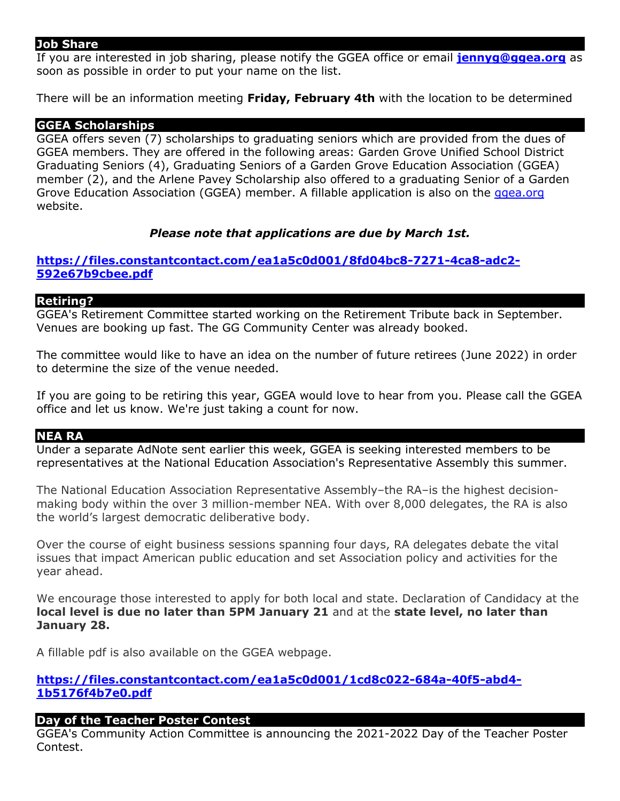#### **Job Share**

If you are interested in job sharing, please notify the GGEA office or email **jennyg@ggea.org** as soon as possible in order to put your name on the list.

There will be an information meeting **Friday, February 4th** with the location to be determined

#### **GGEA Scholarships**

GGEA offers seven (7) scholarships to graduating seniors which are provided from the dues of GGEA members. They are offered in the following areas: Garden Grove Unified School District Graduating Seniors (4), Graduating Seniors of a Garden Grove Education Association (GGEA) member (2), and the Arlene Pavey Scholarship also offered to a graduating Senior of a Garden Grove Education Association (GGEA) member. A fillable application is also on the ggea.org website.

#### *Please note that applications are due by March 1st.*

## **https://files.constantcontact.com/ea1a5c0d001/8fd04bc8-7271-4ca8-adc2- 592e67b9cbee.pdf**

#### **Retiring?**

GGEA's Retirement Committee started working on the Retirement Tribute back in September. Venues are booking up fast. The GG Community Center was already booked.

The committee would like to have an idea on the number of future retirees (June 2022) in order to determine the size of the venue needed.

If you are going to be retiring this year, GGEA would love to hear from you. Please call the GGEA office and let us know. We're just taking a count for now.

#### **NEA RA**

Under a separate AdNote sent earlier this week, GGEA is seeking interested members to be representatives at the National Education Association's Representative Assembly this summer.

The National Education Association Representative Assembly–the RA–is the highest decisionmaking body within the over 3 million-member NEA. With over 8,000 delegates, the RA is also the world's largest democratic deliberative body.

Over the course of eight business sessions spanning four days, RA delegates debate the vital issues that impact American public education and set Association policy and activities for the year ahead.

We encourage those interested to apply for both local and state. Declaration of Candidacy at the **local level is due no later than 5PM January 21** and at the **state level, no later than January 28.**

A fillable pdf is also available on the GGEA webpage.

# **https://files.constantcontact.com/ea1a5c0d001/1cd8c022-684a-40f5-abd4- 1b5176f4b7e0.pdf**

# **Day of the Teacher Poster Contest**

GGEA's Community Action Committee is announcing the 2021-2022 Day of the Teacher Poster Contest.